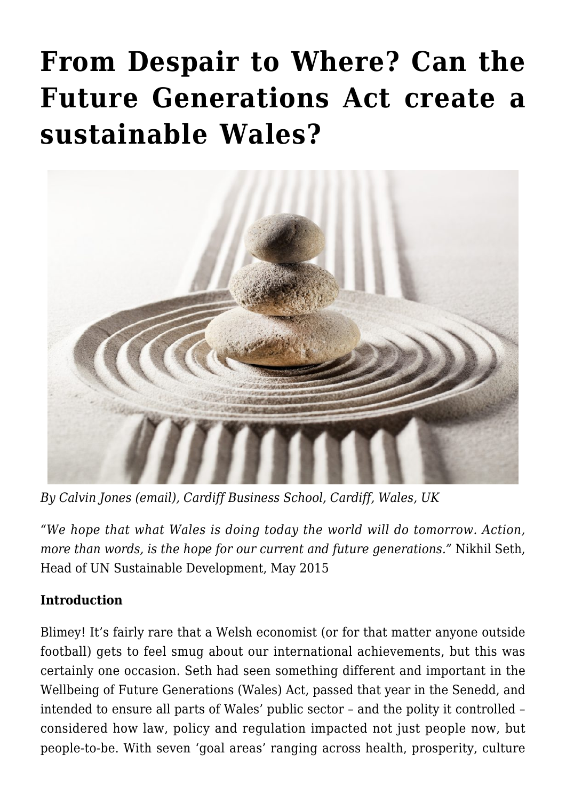# **[From Despair to Where? Can the](https://regions.regionalstudies.org/ezine/article/issue-12-spotlight-sustainable-wales/) [Future Generations Act create a](https://regions.regionalstudies.org/ezine/article/issue-12-spotlight-sustainable-wales/) [sustainable Wales?](https://regions.regionalstudies.org/ezine/article/issue-12-spotlight-sustainable-wales/)**



*By [Calvin Jones](https://www.cardiff.ac.uk/people/view/609409-jones-calvin) [\(email\)](mailto:jonesc24@cardiff.ac.uk), Cardiff Business School, Cardiff, Wales, UK*

*"We hope that what Wales is doing today the world will do tomorrow. Action, more than words, is the hope for our current and future generations."* Nikhil Seth, Head of UN Sustainable Development, May 2015

### **Introduction**

Blimey! It's fairly rare that a Welsh economist (or for that matter anyone outside football) gets to feel smug about our international achievements, but this was certainly one occasion. Seth had seen something different and important in the [Wellbeing of Future Generations \(Wales\) Act,](https://www.futuregenerations.wales/) passed that year in the Senedd, and intended to ensure all parts of Wales' public sector – and the polity it controlled – considered how law, policy and regulation impacted not just people now, but people-to-be. With seven 'goal areas' ranging across health, prosperity, culture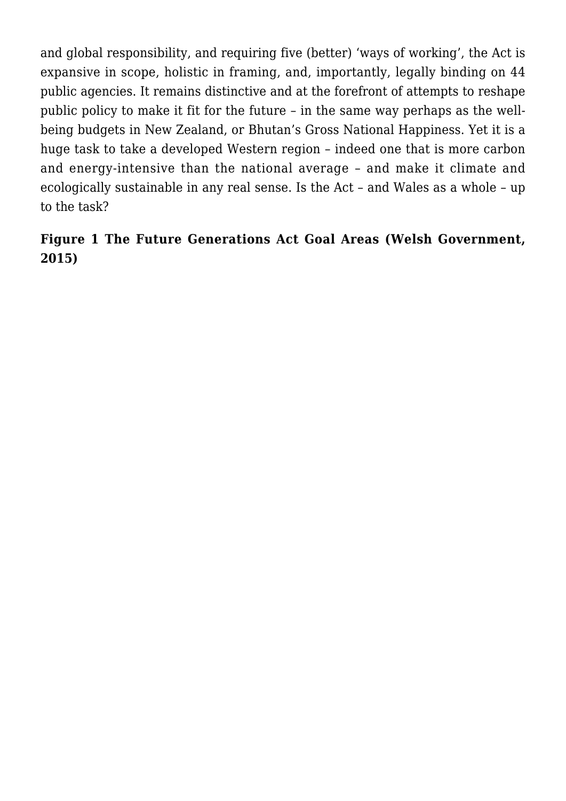and global responsibility, and requiring five (better) 'ways of working', the Act is expansive in scope, holistic in framing, and, importantly, legally binding on 44 public agencies. It remains distinctive and at the forefront of attempts to reshape public policy to make it fit for the future – in the same way perhaps as the wellbeing budgets in New Zealand, or Bhutan's Gross National Happiness. Yet it is a huge task to take a developed Western region – indeed one that is more carbon and energy-intensive than the national average – and make it climate and ecologically sustainable in any real sense. Is the Act – and Wales as a whole – up to the task?

## **Figure 1 The Future Generations Act Goal Areas ([Welsh Government,](https://www.futuregenerations.wales/wp-content/uploads/2017/02/150623-guide-to-the-fg-act-en.pdf) [2015](https://www.futuregenerations.wales/wp-content/uploads/2017/02/150623-guide-to-the-fg-act-en.pdf))**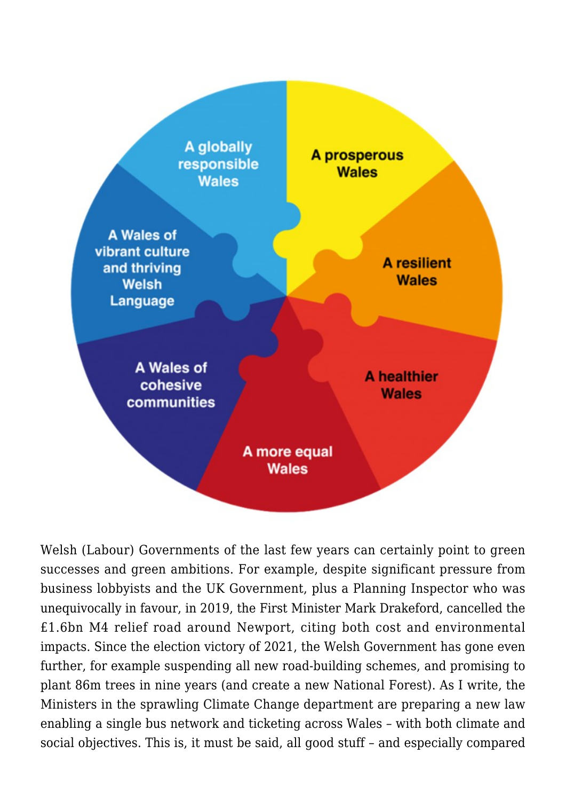

Welsh (Labour) Governments of the last few years can certainly point to green successes and green ambitions. For example, despite significant pressure from business lobbyists and the UK Government, plus a Planning Inspector who was unequivocally in favour, in 2019, the First Minister Mark Drakeford, cancelled the £1.6bn M4 relief road around Newport, citing both cost and environmental impacts. Since the election victory of 2021, the Welsh Government has gone even further, for example suspending all new road-building schemes, and promising to plant 86m trees in nine years (and create a new National Forest). As I write, the Ministers in the sprawling Climate Change department are preparing a new law enabling a single bus network and ticketing across Wales – with both climate and social objectives. This is, it must be said, all good stuff – and especially compared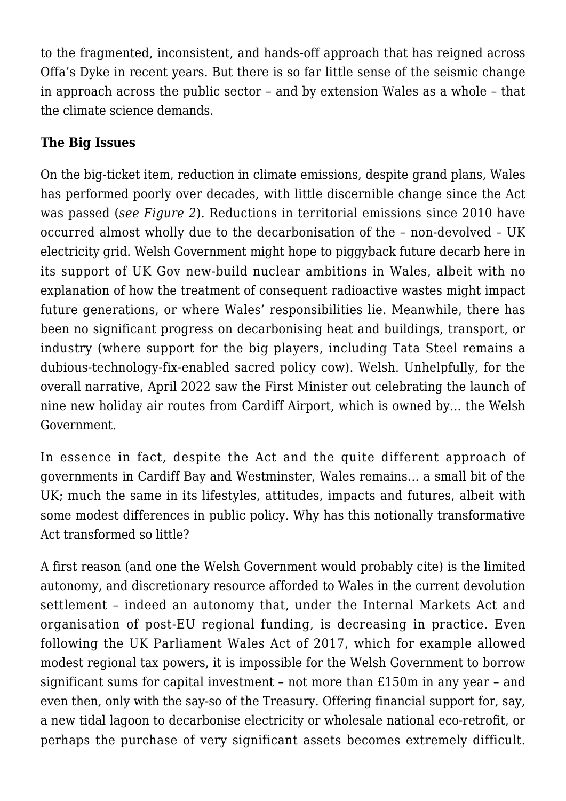to the fragmented, inconsistent, and hands-off approach that has reigned across Offa's Dyke in recent years. But there is so far little sense of the seismic change in approach across the public sector – and by extension Wales as a whole – that the climate science demands.

## **The Big Issues**

On the big-ticket item, reduction in climate emissions, despite [grand plans,](https://gov.wales/sites/default/files/publications/2021-10/net-zero-wales-infographic_0.pdf) Wales has performed poorly over decades, with little discernible change since the Act was passed (*see Figure 2*). Reductions in territorial emissions since 2010 have occurred almost wholly due to the decarbonisation of the – non-devolved – UK electricity grid. Welsh Government might hope to piggyback future decarb here in its support of UK Gov new-build nuclear ambitions in Wales, albeit with no explanation of how the treatment of consequent radioactive wastes might impact future generations, or where Wales' responsibilities lie. Meanwhile, there has been no significant progress on decarbonising heat and buildings, transport, or industry (where support for the big players, including Tata Steel remains a [dubious-technology-fix-enabled](https://www.itv.com/news/wales/2021-11-01/welsh-steel-can-the-industry-ever-go-green) sacred policy cow). Welsh. Unhelpfully, for the overall narrative, April 2022 saw the First Minister out celebrating the launch of nine new holiday air routes from Cardiff Airport, which is owned by… the Welsh Government.

In essence in fact, despite the Act and the quite different approach of governments in Cardiff Bay and Westminster, Wales remains… a small bit of the UK; much the same in its lifestyles, attitudes, impacts and futures, albeit with some modest differences in public policy. Why has this notionally transformative Act transformed so little?

A first reason (and one the Welsh Government would probably cite) is the limited autonomy, and discretionary resource afforded to Wales in the current devolution settlement – indeed an autonomy that, under the Internal Markets Act and organisation of post-EU regional funding, is decreasing in practice. Even following the UK Parliament Wales Act of 2017, which for example allowed modest regional tax powers, it is impossible for the Welsh Government to borrow significant sums for capital investment – not more than £150m in any year – and even then, only with the say-so of the Treasury. Offering financial support for, say, a new tidal lagoon to decarbonise electricity or wholesale national eco-retrofit, or perhaps the purchase of very significant assets becomes extremely difficult.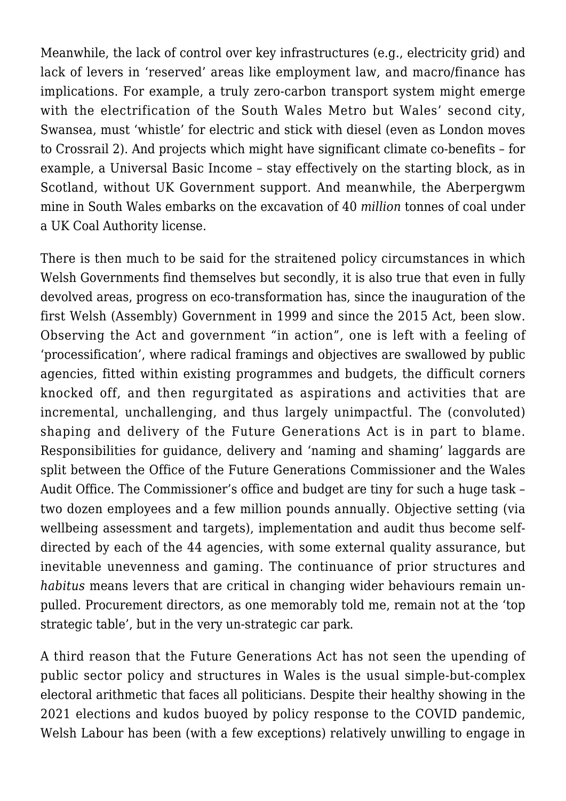Meanwhile, the lack of control over key infrastructures (e.g., electricity grid) and lack of levers in 'reserved' areas like employment law, and macro/finance has implications. For example, a truly zero-carbon transport system might emerge with the electrification of the South Wales Metro but Wales' second city, Swansea, must 'whistle' for electric and stick with diesel (even as London moves to Crossrail 2). And projects which might have significant climate co-benefits – for example, a Universal Basic Income – stay effectively on the starting block, as in Scotland, without UK Government support. And meanwhile, the Aberpergwm mine in South Wales embarks on the excavation of 40 *million* tonnes of coal under a [UK Coal Authority license.](https://www.bbc.co.uk/news/uk-wales-politics-60147423)

There is then much to be said for the straitened policy circumstances in which Welsh Governments find themselves but secondly, it is also true that even in fully devolved areas, progress on eco-transformation has, since the inauguration of the first Welsh (Assembly) Government in 1999 and since the 2015 Act, been slow. Observing the Act and government "in action", one is left with a feeling of 'processification', where radical framings and objectives are swallowed by public agencies, fitted within existing programmes and budgets, the difficult corners knocked off, and then regurgitated as aspirations and activities that are incremental, unchallenging, and thus largely unimpactful. The (convoluted) shaping and delivery of the Future Generations Act is in part to blame. Responsibilities for guidance, delivery and 'naming and shaming' laggards are split between the Office of the Future Generations Commissioner and the Wales Audit Office. The Commissioner's office and budget are tiny for such a huge task – two dozen employees and a few million pounds annually. Objective setting (via wellbeing assessment and targets), implementation and audit thus become selfdirected by each of the 44 agencies, with some external quality assurance, but inevitable unevenness and gaming. The continuance of prior structures and *habitus* means levers that are critical in changing wider behaviours remain unpulled. Procurement directors, as one memorably told me, remain not at the 'top strategic table', but in the very un-strategic car park.

A third reason that the Future Generations Act has not seen the upending of public sector policy and structures in Wales is the usual simple-but-complex electoral arithmetic that faces all politicians. Despite their healthy showing in the 2021 elections and kudos buoyed by policy response to the COVID pandemic, Welsh Labour has been (with a few exceptions) relatively unwilling to engage in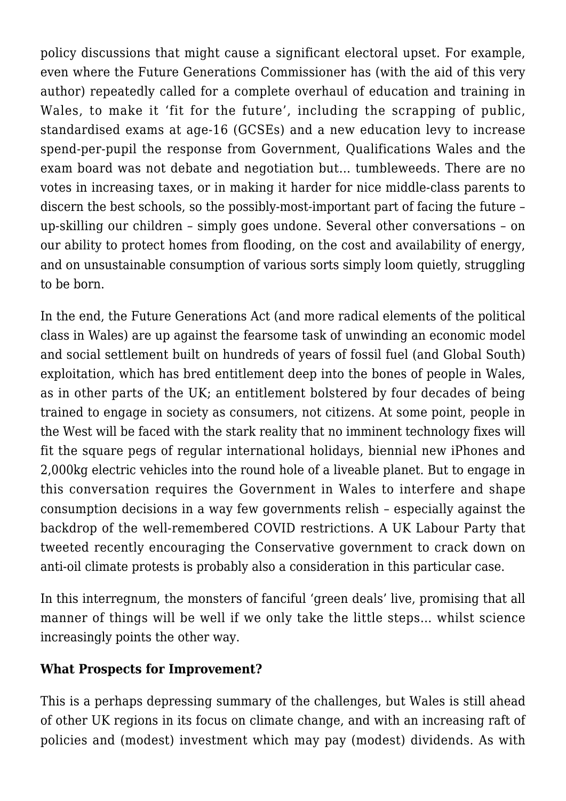policy discussions that might cause a significant electoral upset. For example, even where the Future Generations Commissioner has (with the aid of this very author) repeatedly called for a complete overhaul of education and training in Wales, to make it '[fit for the future'](https://www.futuregenerations.wales/resources_posts/education-fit-for-the-future-in-wales-report/), including the scrapping of public, standardised exams at age-16 (GCSEs) and a new education levy to increase spend-per-pupil the response from Government, Qualifications Wales and the exam board was not debate and negotiation but… tumbleweeds. There are no votes in increasing taxes, or in making it harder for nice middle-class parents to discern the best schools, so the possibly-most-important part of facing the future – up-skilling our children – simply goes undone. Several other conversations – on our ability to protect homes from flooding, on the cost and availability of energy, and on unsustainable consumption of various sorts simply loom quietly, struggling to be born.

In the end, the Future Generations Act (and more radical elements of the political class in Wales) are up against the fearsome task of unwinding an economic model and social settlement built on hundreds of years of fossil fuel (and [Global South](https://www.sciencedirect.com/science/article/pii/S095937802200005X?via%3Dihub)) exploitation, which has bred entitlement deep into the bones of people in Wales, as in other parts of the UK; an entitlement bolstered by four decades of being trained to engage in society as consumers, not citizens. At some point, people in the West will be faced with the stark reality that no imminent technology fixes will fit the square pegs of regular international holidays, biennial new iPhones and 2,000kg electric vehicles into the round hole of a liveable planet. But to engage in this conversation requires the Government in Wales to interfere and shape consumption decisions in a way few governments relish – especially against the backdrop of the well-remembered COVID restrictions. A UK Labour Party that tweeted recently encouraging the Conservative government to [crack down on](https://twitter.com/UKLabour/status/1513545879181004800) [anti-oil climate protests](https://twitter.com/UKLabour/status/1513545879181004800) is probably also a consideration in this particular case.

In this interregnum, the monsters of fanciful 'green deals' live, promising that all manner of things will be well if we only take the little steps… whilst science increasingly points the other way.

### **What Prospects for Improvement?**

This is a perhaps depressing summary of the challenges, but Wales is still ahead of other UK regions in its focus on climate change, and with an increasing raft of policies and (modest) investment which may pay (modest) dividends. As with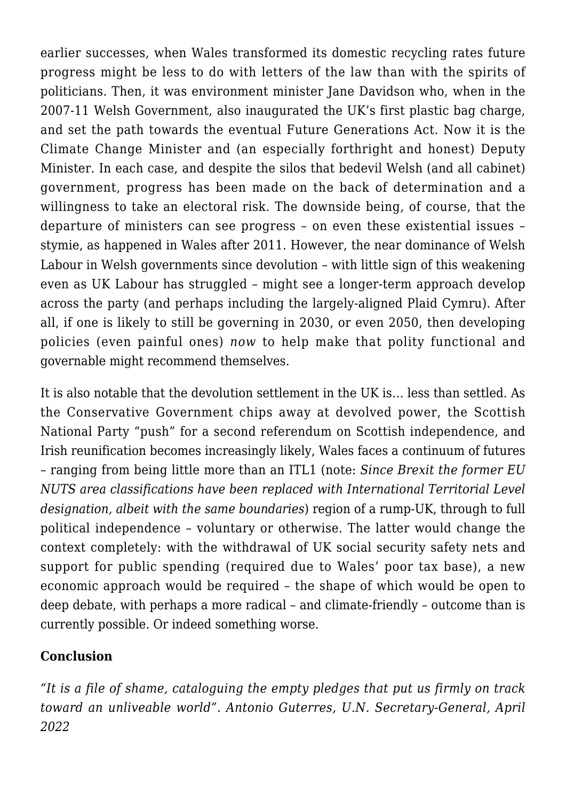earlier successes, when Wales transformed its domestic recycling rates future progress might be less to do with letters of the law than with the spirits of politicians. Then, it was environment minister Jane Davidson who, when in the 2007-11 Welsh Government, also inaugurated the UK's first plastic bag charge, and set the path towards the eventual Future Generations Act. Now it is the Climate Change Minister and (an especially forthright and honest) Deputy Minister. In each case, and despite the silos that bedevil Welsh (and all cabinet) government, progress has been made on the back of determination and a willingness to take an electoral risk. The downside being, of course, that the departure of ministers can see progress – on even these existential issues – stymie, as happened in Wales after 2011. However, the near dominance of Welsh Labour in Welsh governments since devolution – with little sign of this weakening even as UK Labour has struggled – might see a longer-term approach develop across the party (and perhaps including the largely-aligned Plaid Cymru). After all, if one is likely to still be governing in 2030, or even 2050, then developing policies (even painful ones) *now* to help make that polity functional and governable might recommend themselves.

It is also notable that the devolution settlement in the UK is… less than settled. As the Conservative Government chips away at devolved power, the Scottish National Party "push" for a second referendum on Scottish independence, and Irish reunification becomes increasingly likely, Wales faces a continuum of futures – ranging from being little more than an ITL1 (note: *Since Brexit the former EU NUTS area classifications have been replaced with International Territorial Level designation, albeit with the same boundaries*) region of a rump-UK, through to full political independence – voluntary or otherwise. The latter would change the context completely: with the withdrawal of UK social security safety nets and support for public spending (required due to Wales' poor tax base), a new economic approach would be required – the shape of which would be open to [deep debate,](https://www.economicsobservatory.com/what-would-be-the-central-economic-issues-around-independence-for-wales) with perhaps a more radical – and climate-friendly – outcome than is currently possible. Or indeed something worse.

### **Conclusion**

*"It is a file of shame, cataloguing the empty pledges that put us firmly on track toward an unliveable world"*. *Antonio Guterres, U.N. Secretary-General, April 2022*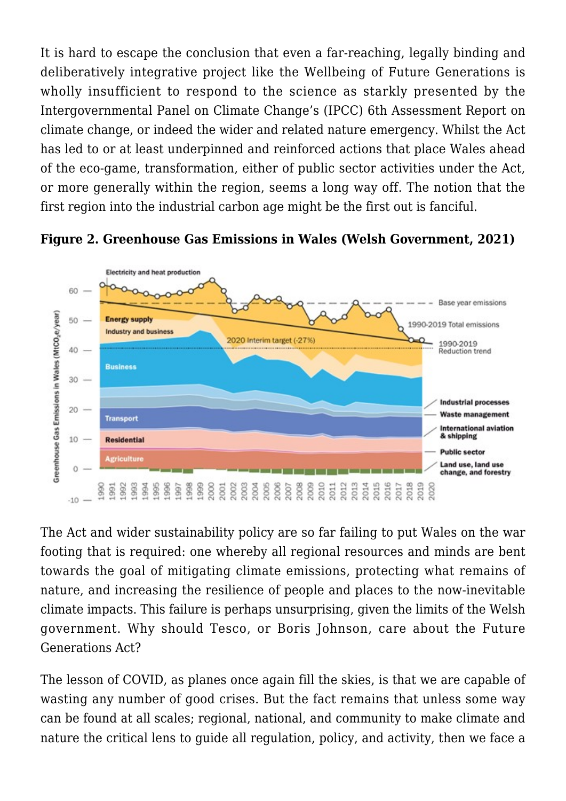It is hard to escape the conclusion that even a far-reaching, legally binding and deliberatively integrative project like the Wellbeing of Future Generations is wholly insufficient to respond to the science as starkly presented by the [Intergovernmental Panel on Climate Change'](https://www.ipcc.ch/)s (IPCC) [6th Assessment Report on](https://www.ipcc.ch/assessment-report/ar6/) [climate change,](https://www.ipcc.ch/assessment-report/ar6/) or indeed the wider and related nature emergency. Whilst the Act has led to or at least underpinned and reinforced actions that place Wales ahead of the eco-game, transformation, either of public sector activities under the Act, or more generally within the region, seems a long way off. The notion that the first region into the industrial carbon age might be the first out is fanciful.



**Figure 2. Greenhouse Gas Emissions in Wales ([Welsh Government, 2021](https://gov.wales/sites/default/files/publications/2021-12/greenhouse-gas-emissions-infographic-2019.pdf))**

The Act and wider sustainability policy are so far failing to put Wales on the war footing that is required: one whereby all regional resources and minds are bent towards the goal of mitigating climate emissions, protecting what remains of nature, and increasing the resilience of people and places to the now-inevitable climate impacts. This failure is perhaps unsurprising, given the limits of the Welsh government. Why should Tesco, or Boris Johnson, care about the Future Generations Act?

The lesson of COVID, as planes once again fill the skies, is that we are capable of wasting any number of good crises. But the fact remains that unless some way can be found at all scales; regional, national, and community to make climate and nature the critical lens to guide all regulation, policy, and activity, then we face a